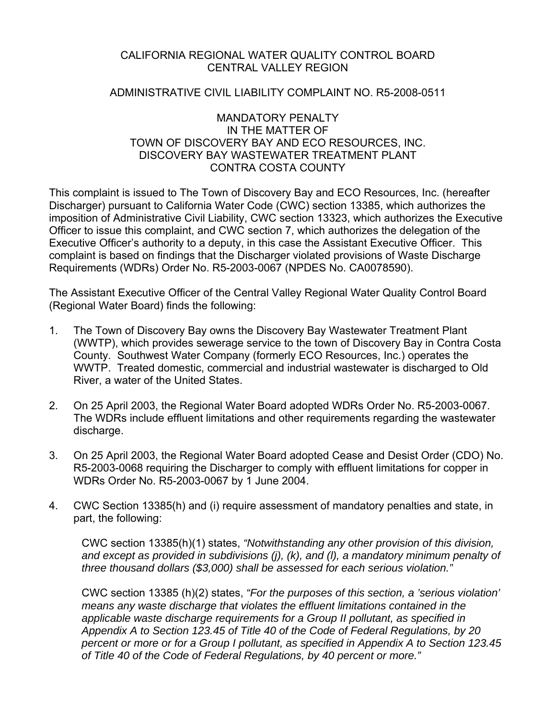#### CALIFORNIA REGIONAL WATER QUALITY CONTROL BOARD CENTRAL VALLEY REGION

#### ADMINISTRATIVE CIVIL LIABILITY COMPLAINT NO. R5-2008-0511

#### MANDATORY PENALTY IN THE MATTER OF TOWN OF DISCOVERY BAY AND ECO RESOURCES, INC. DISCOVERY BAY WASTEWATER TREATMENT PLANT CONTRA COSTA COUNTY

This complaint is issued to The Town of Discovery Bay and ECO Resources, Inc. (hereafter Discharger) pursuant to California Water Code (CWC) section 13385, which authorizes the imposition of Administrative Civil Liability, CWC section 13323, which authorizes the Executive Officer to issue this complaint, and CWC section 7, which authorizes the delegation of the Executive Officer's authority to a deputy, in this case the Assistant Executive Officer. This complaint is based on findings that the Discharger violated provisions of Waste Discharge Requirements (WDRs) Order No. R5-2003-0067 (NPDES No. CA0078590).

The Assistant Executive Officer of the Central Valley Regional Water Quality Control Board (Regional Water Board) finds the following:

- 1. The Town of Discovery Bay owns the Discovery Bay Wastewater Treatment Plant (WWTP), which provides sewerage service to the town of Discovery Bay in Contra Costa County. Southwest Water Company (formerly ECO Resources, Inc.) operates the WWTP. Treated domestic, commercial and industrial wastewater is discharged to Old River, a water of the United States.
- 2. On 25 April 2003, the Regional Water Board adopted WDRs Order No. R5-2003-0067. The WDRs include effluent limitations and other requirements regarding the wastewater discharge.
- 3. On 25 April 2003, the Regional Water Board adopted Cease and Desist Order (CDO) No. R5-2003-0068 requiring the Discharger to comply with effluent limitations for copper in WDRs Order No. R5-2003-0067 by 1 June 2004.
- 4. CWC Section 13385(h) and (i) require assessment of mandatory penalties and state, in part, the following:

CWC section 13385(h)(1) states, *"Notwithstanding any other provision of this division, and except as provided in subdivisions (j), (k), and (l), a mandatory minimum penalty of three thousand dollars (\$3,000) shall be assessed for each serious violation."* 

CWC section 13385 (h)(2) states, *"For the purposes of this section, a 'serious violation' means any waste discharge that violates the effluent limitations contained in the applicable waste discharge requirements for a Group II pollutant, as specified in Appendix A to Section 123.45 of Title 40 of the Code of Federal Regulations, by 20 percent or more or for a Group I pollutant, as specified in Appendix A to Section 123.45 of Title 40 of the Code of Federal Regulations, by 40 percent or more."*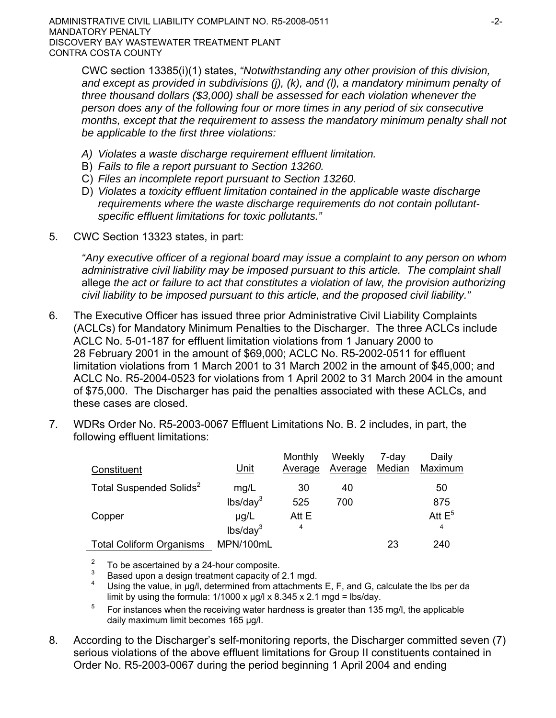ADMINISTRATIVE CIVIL LIABILITY COMPLAINT NO. R5-2008-0511 **ADMINISTRATIVE COMPLAINT** MANDATORY PENALTY DISCOVERY BAY WASTEWATER TREATMENT PLANT CONTRA COSTA COUNTY

CWC section 13385(i)(1) states, *"Notwithstanding any other provision of this division, and except as provided in subdivisions (j), (k), and (l), a mandatory minimum penalty of three thousand dollars (\$3,000) shall be assessed for each violation whenever the person does any of the following four or more times in any period of six consecutive months, except that the requirement to assess the mandatory minimum penalty shall not be applicable to the first three violations:* 

- *A) Violates a waste discharge requirement effluent limitation.*
- B) *Fails to file a report pursuant to Section 13260.*
- C) *Files an incomplete report pursuant to Section 13260.*
- D) *Violates a toxicity effluent limitation contained in the applicable waste discharge requirements where the waste discharge requirements do not contain pollutantspecific effluent limitations for toxic pollutants."*
- 5. CWC Section 13323 states, in part:

*"Any executive officer of a regional board may issue a complaint to any person on whom administrative civil liability may be imposed pursuant to this article. The complaint shall*  allege *the act or failure to act that constitutes a violation of law, the provision authorizing civil liability to be imposed pursuant to this article, and the proposed civil liability."*

- 6. The Executive Officer has issued three prior Administrative Civil Liability Complaints (ACLCs) for Mandatory Minimum Penalties to the Discharger. The three ACLCs include ACLC No. 5-01-187 for effluent limitation violations from 1 January 2000 to 28 February 2001 in the amount of \$69,000; ACLC No. R5-2002-0511 for effluent limitation violations from 1 March 2001 to 31 March 2002 in the amount of \$45,000; and ACLC No. R5-2004-0523 for violations from 1 April 2002 to 31 March 2004 in the amount of \$75,000. The Discharger has paid the penalties associated with these ACLCs, and these cases are closed.
- 7. WDRs Order No. R5-2003-0067 Effluent Limitations No. B. 2 includes, in part, the following effluent limitations:

| Constituent                         | Unit                 | Monthly<br>Average | Weekly<br>Average | 7-day<br>Median | Daily<br>Maximum |
|-------------------------------------|----------------------|--------------------|-------------------|-----------------|------------------|
| Total Suspended Solids <sup>2</sup> | mg/L                 | 30                 | 40                |                 | 50               |
|                                     | lbs/day <sup>3</sup> | 525                | 700               |                 | 875              |
| Copper                              | $\mu$ g/L            | Att E              |                   |                 | Att $E^5$        |
|                                     | lbs/day <sup>3</sup> | 4                  |                   |                 | 4                |
| <b>Total Coliform Organisms</b>     | MPN/100mL            |                    |                   | 23              | 240              |

2 To be ascertained by a 24-hour composite.

3 Based upon a design treatment capacity of 2.1 mgd.

4 Using the value, in ug/l, determined from attachments E, F, and G, calculate the lbs per da limit by using the formula:  $1/1000 \times \mu g/l \times 8.345 \times 2.1 \text{ mgd} = \text{lbs/day}.$ 

5 For instances when the receiving water hardness is greater than 135 mg/l, the applicable daily maximum limit becomes 165 μg/l.

8. According to the Discharger's self-monitoring reports, the Discharger committed seven (7) serious violations of the above effluent limitations for Group II constituents contained in Order No. R5-2003-0067 during the period beginning 1 April 2004 and ending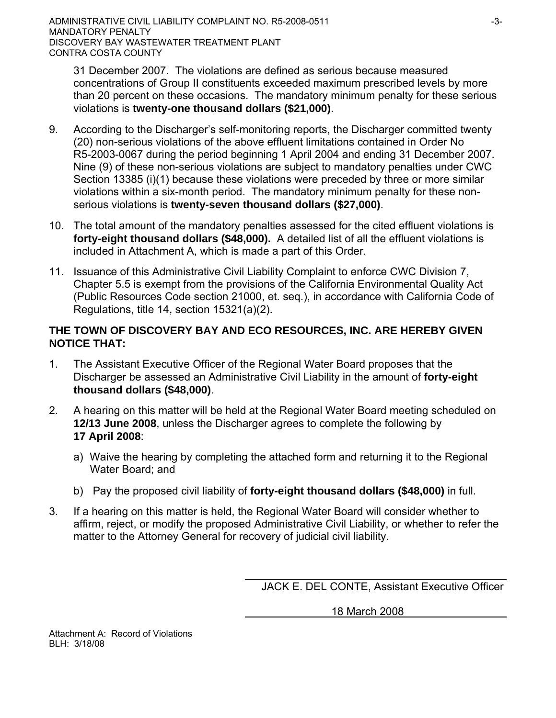31 December 2007. The violations are defined as serious because measured concentrations of Group II constituents exceeded maximum prescribed levels by more than 20 percent on these occasions. The mandatory minimum penalty for these serious violations is **twenty-one thousand dollars (\$21,000)**.

- 9. According to the Discharger's self-monitoring reports, the Discharger committed twenty (20) non-serious violations of the above effluent limitations contained in Order No R5-2003-0067 during the period beginning 1 April 2004 and ending 31 December 2007. Nine (9) of these non-serious violations are subject to mandatory penalties under CWC Section 13385 (i)(1) because these violations were preceded by three or more similar violations within a six-month period. The mandatory minimum penalty for these nonserious violations is **twenty-seven thousand dollars (\$27,000)**.
- 10. The total amount of the mandatory penalties assessed for the cited effluent violations is **forty-eight thousand dollars (\$48,000).** A detailed list of all the effluent violations is included in Attachment A, which is made a part of this Order.
- 11. Issuance of this Administrative Civil Liability Complaint to enforce CWC Division 7, Chapter 5.5 is exempt from the provisions of the California Environmental Quality Act (Public Resources Code section 21000, et. seq.), in accordance with California Code of Regulations, title 14, section 15321(a)(2).

# **THE TOWN OF DISCOVERY BAY AND ECO RESOURCES, INC. ARE HEREBY GIVEN NOTICE THAT:**

- 1. The Assistant Executive Officer of the Regional Water Board proposes that the Discharger be assessed an Administrative Civil Liability in the amount of **forty-eight thousand dollars (\$48,000)**.
- 2. A hearing on this matter will be held at the Regional Water Board meeting scheduled on **12/13 June 2008**, unless the Discharger agrees to complete the following by **17 April 2008**:
	- a) Waive the hearing by completing the attached form and returning it to the Regional Water Board; and
	- b) Pay the proposed civil liability of **forty-eight thousand dollars (\$48,000)** in full.
- 3. If a hearing on this matter is held, the Regional Water Board will consider whether to affirm, reject, or modify the proposed Administrative Civil Liability, or whether to refer the matter to the Attorney General for recovery of judicial civil liability.

JACK E. DEL CONTE, Assistant Executive Officer

18 March 2008

Attachment A: Record of Violations BLH: 3/18/08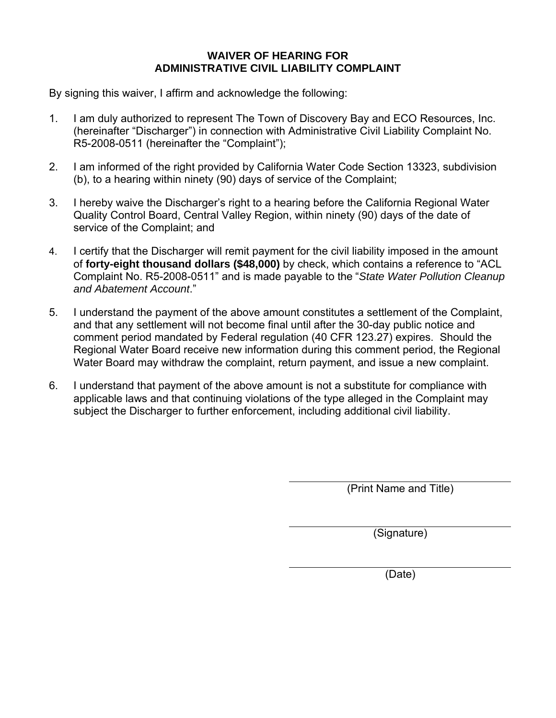## **WAIVER OF HEARING FOR ADMINISTRATIVE CIVIL LIABILITY COMPLAINT**

By signing this waiver, I affirm and acknowledge the following:

- 1. I am duly authorized to represent The Town of Discovery Bay and ECO Resources, Inc. (hereinafter "Discharger") in connection with Administrative Civil Liability Complaint No. R5-2008-0511 (hereinafter the "Complaint");
- 2. I am informed of the right provided by California Water Code Section 13323, subdivision (b), to a hearing within ninety (90) days of service of the Complaint;
- 3. I hereby waive the Discharger's right to a hearing before the California Regional Water Quality Control Board, Central Valley Region, within ninety (90) days of the date of service of the Complaint; and
- 4. I certify that the Discharger will remit payment for the civil liability imposed in the amount of **forty-eight thousand dollars (\$48,000)** by check, which contains a reference to "ACL Complaint No. R5-2008-0511" and is made payable to the "*State Water Pollution Cleanup and Abatement Account*."
- 5. I understand the payment of the above amount constitutes a settlement of the Complaint, and that any settlement will not become final until after the 30-day public notice and comment period mandated by Federal regulation (40 CFR 123.27) expires. Should the Regional Water Board receive new information during this comment period, the Regional Water Board may withdraw the complaint, return payment, and issue a new complaint.
- 6. I understand that payment of the above amount is not a substitute for compliance with applicable laws and that continuing violations of the type alleged in the Complaint may subject the Discharger to further enforcement, including additional civil liability.

(Print Name and Title)

(Signature)

(Date)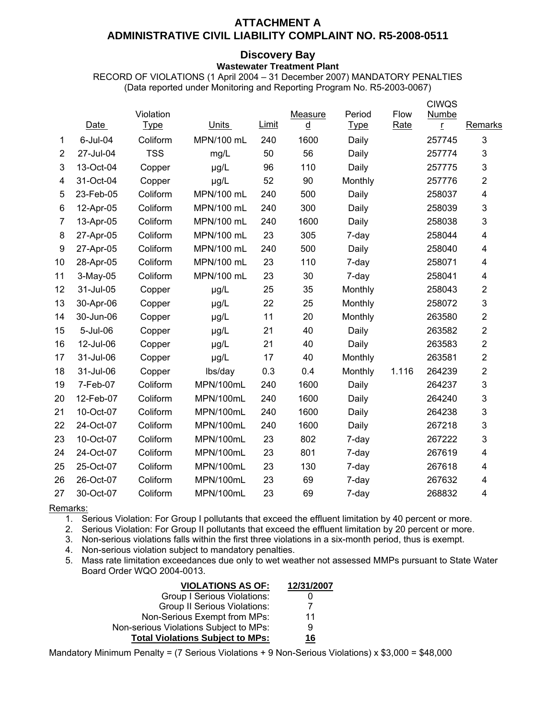## **ATTACHMENT A**

## **ADMINISTRATIVE CIVIL LIABILITY COMPLAINT NO. R5-2008-0511**

#### **Discovery Bay**

**Wastewater Treatment Plant** 

RECORD OF VIOLATIONS (1 April 2004 – 31 December 2007) MANDATORY PENALTIES (Data reported under Monitoring and Reporting Program No. R5-2003-0067)

|                |             | Violation   |            |              | Measure                  | Period      | Flow  | <b>CIWQS</b><br>Numbe |                         |
|----------------|-------------|-------------|------------|--------------|--------------------------|-------------|-------|-----------------------|-------------------------|
|                | <b>Date</b> | <b>Type</b> | Units      | <b>Limit</b> | $\underline{\mathsf{d}}$ | <b>Type</b> | Rate  | r                     | Remarks                 |
| 1              | 6-Jul-04    | Coliform    | MPN/100 mL | 240          | 1600                     | Daily       |       | 257745                | $\mathbf{3}$            |
| $\overline{2}$ | 27-Jul-04   | <b>TSS</b>  | mg/L       | 50           | 56                       | Daily       |       | 257774                | 3                       |
| 3              | 13-Oct-04   | Copper      | µg/L       | 96           | 110                      | Daily       |       | 257775                | 3                       |
| 4              | 31-Oct-04   | Copper      | µg/L       | 52           | 90                       | Monthly     |       | 257776                | $\overline{2}$          |
| 5              | 23-Feb-05   | Coliform    | MPN/100 mL | 240          | 500                      | Daily       |       | 258037                | 4                       |
| 6              | 12-Apr-05   | Coliform    | MPN/100 mL | 240          | 300                      | Daily       |       | 258039                | 3                       |
| $\overline{7}$ | 13-Apr-05   | Coliform    | MPN/100 mL | 240          | 1600                     | Daily       |       | 258038                | 3                       |
| 8              | 27-Apr-05   | Coliform    | MPN/100 mL | 23           | 305                      | 7-day       |       | 258044                | 4                       |
| 9              | 27-Apr-05   | Coliform    | MPN/100 mL | 240          | 500                      | Daily       |       | 258040                | 4                       |
| 10             | 28-Apr-05   | Coliform    | MPN/100 mL | 23           | 110                      | 7-day       |       | 258071                | 4                       |
| 11             | 3-May-05    | Coliform    | MPN/100 mL | 23           | 30                       | 7-day       |       | 258041                | 4                       |
| 12             | 31-Jul-05   | Copper      | µg/L       | 25           | 35                       | Monthly     |       | 258043                | $\mathbf 2$             |
| 13             | 30-Apr-06   | Copper      | µg/L       | 22           | 25                       | Monthly     |       | 258072                | 3                       |
| 14             | 30-Jun-06   | Copper      | µg/L       | 11           | 20                       | Monthly     |       | 263580                | $\overline{2}$          |
| 15             | 5-Jul-06    | Copper      | µg/L       | 21           | 40                       | Daily       |       | 263582                | $\overline{2}$          |
| 16             | 12-Jul-06   | Copper      | µg/L       | 21           | 40                       | Daily       |       | 263583                | $\boldsymbol{2}$        |
| 17             | 31-Jul-06   | Copper      | µg/L       | 17           | 40                       | Monthly     |       | 263581                | $\overline{2}$          |
| 18             | 31-Jul-06   | Copper      | lbs/day    | 0.3          | 0.4                      | Monthly     | 1.116 | 264239                | 2                       |
| 19             | 7-Feb-07    | Coliform    | MPN/100mL  | 240          | 1600                     | Daily       |       | 264237                | 3                       |
| 20             | 12-Feb-07   | Coliform    | MPN/100mL  | 240          | 1600                     | Daily       |       | 264240                | 3                       |
| 21             | 10-Oct-07   | Coliform    | MPN/100mL  | 240          | 1600                     | Daily       |       | 264238                | 3                       |
| 22             | 24-Oct-07   | Coliform    | MPN/100mL  | 240          | 1600                     | Daily       |       | 267218                | 3                       |
| 23             | 10-Oct-07   | Coliform    | MPN/100mL  | 23           | 802                      | 7-day       |       | 267222                | 3                       |
| 24             | 24-Oct-07   | Coliform    | MPN/100mL  | 23           | 801                      | 7-day       |       | 267619                | 4                       |
| 25             | 25-Oct-07   | Coliform    | MPN/100mL  | 23           | 130                      | 7-day       |       | 267618                | $\overline{\mathbf{4}}$ |
| 26             | 26-Oct-07   | Coliform    | MPN/100mL  | 23           | 69                       | 7-day       |       | 267632                | 4                       |
| 27             | 30-Oct-07   | Coliform    | MPN/100mL  | 23           | 69                       | 7-day       |       | 268832                | $\overline{\mathbf{4}}$ |
|                |             |             |            |              |                          |             |       |                       |                         |

Remarks:

1. Serious Violation: For Group I pollutants that exceed the effluent limitation by 40 percent or more.

2. Serious Violation: For Group II pollutants that exceed the effluent limitation by 20 percent or more.

3. Non-serious violations falls within the first three violations in a six-month period, thus is exempt.

4. Non-serious violation subject to mandatory penalties.

5. Mass rate limitation exceedances due only to wet weather not assessed MMPs pursuant to State Water Board Order WQO 2004-0013.

| <b>VIOLATIONS AS OF:</b>                | 12/31/2007 |
|-----------------------------------------|------------|
| Group I Serious Violations:             |            |
| <b>Group II Serious Violations:</b>     |            |
| Non-Serious Exempt from MPs:            | 11         |
| Non-serious Violations Subject to MPs:  | 9          |
| <b>Total Violations Subject to MPs:</b> | 16         |

Mandatory Minimum Penalty = (7 Serious Violations + 9 Non-Serious Violations) x \$3,000 = \$48,000